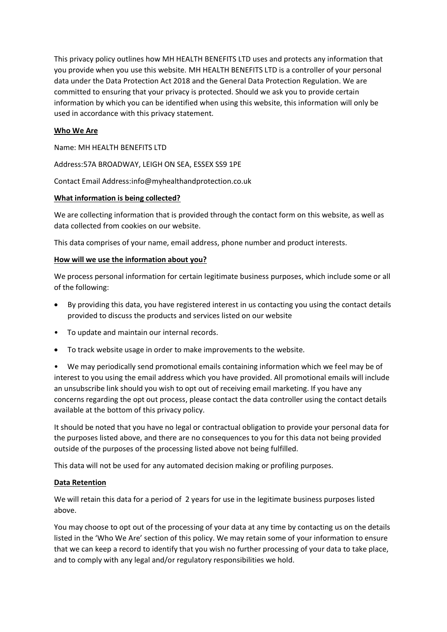This privacy policy outlines how MH HEALTH BENEFITS LTD uses and protects any information that you provide when you use this website. MH HEALTH BENEFITS LTD is a controller of your personal data under the Data Protection Act 2018 and the General Data Protection Regulation. We are committed to ensuring that your privacy is protected. Should we ask you to provide certain information by which you can be identified when using this website, this information will only be used in accordance with this privacy statement.

# **Who We Are**

Name: MH HEALTH BENEFITS LTD

Address:57A BROADWAY, LEIGH ON SEA, ESSEX SS9 1PE

Contact Email Address:info@myhealthandprotection.co.uk

#### **What information is being collected?**

We are collecting information that is provided through the contact form on this website, as well as data collected from cookies on our website.

This data comprises of your name, email address, phone number and product interests.

# **How will we use the information about you?**

We process personal information for certain legitimate business purposes, which include some or all of the following:

- By providing this data, you have registered interest in us contacting you using the contact details provided to discuss the products and services listed on our website
- To update and maintain our internal records.
- To track website usage in order to make improvements to the website.
- We may periodically send promotional emails containing information which we feel may be of interest to you using the email address which you have provided. All promotional emails will include an unsubscribe link should you wish to opt out of receiving email marketing. If you have any concerns regarding the opt out process, please contact the data controller using the contact details available at the bottom of this privacy policy.

It should be noted that you have no legal or contractual obligation to provide your personal data for the purposes listed above, and there are no consequences to you for this data not being provided outside of the purposes of the processing listed above not being fulfilled.

This data will not be used for any automated decision making or profiling purposes.

# **Data Retention**

We will retain this data for a period of 2 years for use in the legitimate business purposes listed above.

You may choose to opt out of the processing of your data at any time by contacting us on the details listed in the 'Who We Are' section of this policy. We may retain some of your information to ensure that we can keep a record to identify that you wish no further processing of your data to take place, and to comply with any legal and/or regulatory responsibilities we hold.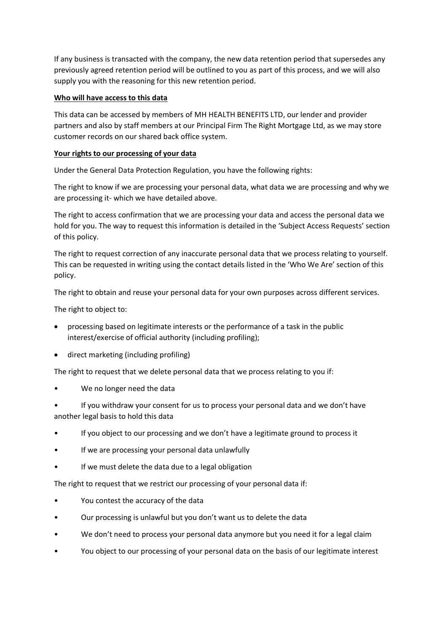If any business is transacted with the company, the new data retention period that supersedes any previously agreed retention period will be outlined to you as part of this process, and we will also supply you with the reasoning for this new retention period.

# **Who will have access to this data**

This data can be accessed by members of MH HEALTH BENEFITS LTD, our lender and provider partners and also by staff members at our Principal Firm The Right Mortgage Ltd, as we may store customer records on our shared back office system.

# **Your rights to our processing of your data**

Under the General Data Protection Regulation, you have the following rights:

The right to know if we are processing your personal data, what data we are processing and why we are processing it- which we have detailed above.

The right to access confirmation that we are processing your data and access the personal data we hold for you. The way to request this information is detailed in the 'Subject Access Requests' section of this policy.

The right to request correction of any inaccurate personal data that we process relating to yourself. This can be requested in writing using the contact details listed in the 'Who We Are' section of this policy.

The right to obtain and reuse your personal data for your own purposes across different services.

The right to object to:

- processing based on legitimate interests or the performance of a task in the public interest/exercise of official authority (including profiling);
- direct marketing (including profiling)

The right to request that we delete personal data that we process relating to you if:

We no longer need the data

• If you withdraw your consent for us to process your personal data and we don't have another legal basis to hold this data

- If you object to our processing and we don't have a legitimate ground to process it
- If we are processing your personal data unlawfully
- If we must delete the data due to a legal obligation

The right to request that we restrict our processing of your personal data if:

- You contest the accuracy of the data
- Our processing is unlawful but you don't want us to delete the data
- We don't need to process your personal data anymore but you need it for a legal claim
- You object to our processing of your personal data on the basis of our legitimate interest